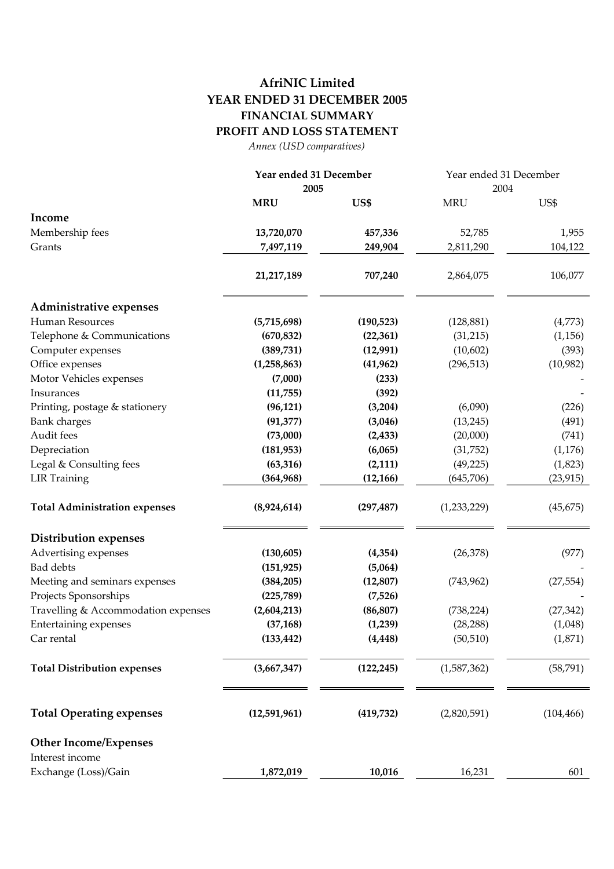## **AfriNIC Limited YEAR ENDED 31 DECEMBER 2005 FINANCIAL SUMMARY PROFIT AND LOSS STATEMENT**

*Annex (USD comparatives)*

|                                      | Year ended 31 December<br>2005 |            | Year ended 31 December<br>2004 |            |
|--------------------------------------|--------------------------------|------------|--------------------------------|------------|
|                                      |                                |            |                                |            |
|                                      | <b>MRU</b>                     | US\$       | <b>MRU</b>                     | US\$       |
| Income                               |                                |            |                                |            |
| Membership fees                      | 13,720,070                     | 457,336    | 52,785                         | 1,955      |
| Grants                               | 7,497,119                      | 249,904    | 2,811,290                      | 104,122    |
|                                      |                                |            |                                |            |
|                                      | 21,217,189                     | 707,240    | 2,864,075                      | 106,077    |
| Administrative expenses              |                                |            |                                |            |
| <b>Human Resources</b>               | (5,715,698)                    | (190, 523) | (128, 881)                     | (4,773)    |
| Telephone & Communications           | (670, 832)                     | (22, 361)  | (31,215)                       | (1, 156)   |
| Computer expenses                    | (389, 731)                     | (12,991)   | (10,602)                       | (393)      |
| Office expenses                      | (1, 258, 863)                  | (41,962)   | (296, 513)                     | (10,982)   |
| Motor Vehicles expenses              | (7,000)                        | (233)      |                                |            |
| Insurances                           | (11,755)                       | (392)      |                                |            |
| Printing, postage & stationery       | (96, 121)                      | (3,204)    | (6,090)                        | (226)      |
| <b>Bank</b> charges                  | (91, 377)                      | (3,046)    | (13, 245)                      | (491)      |
| Audit fees                           | (73,000)                       | (2, 433)   | (20,000)                       | (741)      |
| Depreciation                         | (181, 953)                     | (6,065)    | (31,752)                       | (1, 176)   |
| Legal & Consulting fees              | (63, 316)                      | (2,111)    | (49, 225)                      | (1,823)    |
| <b>LIR Training</b>                  | (364, 968)                     | (12, 166)  | (645,706)                      | (23, 915)  |
| <b>Total Administration expenses</b> | (8,924,614)                    | (297, 487) | (1,233,229)                    | (45, 675)  |
| <b>Distribution expenses</b>         |                                |            |                                |            |
| Advertising expenses                 | (130, 605)                     | (4,354)    | (26,378)                       | (977)      |
| <b>Bad debts</b>                     | (151, 925)                     | (5,064)    |                                |            |
| Meeting and seminars expenses        | (384, 205)                     | (12, 807)  | (743, 962)                     | (27, 554)  |
| Projects Sponsorships                | (225, 789)                     | (7,526)    |                                |            |
| Travelling & Accommodation expenses  | (2,604,213)                    | (86, 807)  | (738, 224)                     | (27, 342)  |
| Entertaining expenses                | (37, 168)                      | (1,239)    | (28, 288)                      | (1,048)    |
| Car rental                           | (133, 442)                     | (4, 448)   | (50, 510)                      | (1,871)    |
| <b>Total Distribution expenses</b>   | (3,667,347)                    | (122, 245) | (1,587,362)                    | (58, 791)  |
| <b>Total Operating expenses</b>      | (12,591,961)                   | (419, 732) | (2,820,591)                    | (104, 466) |
| <b>Other Income/Expenses</b>         |                                |            |                                |            |
| Interest income                      |                                |            |                                |            |
| Exchange (Loss)/Gain                 | 1,872,019                      | 10,016     | 16,231                         | 601        |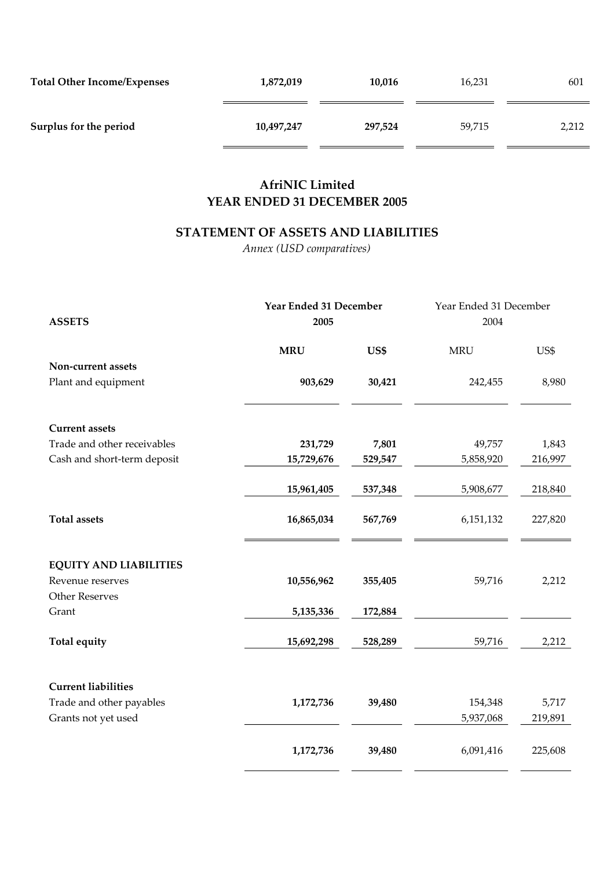| <b>Total Other Income/Expenses</b> | 1,872,019  | 10,016  | 16,231 | 601   |
|------------------------------------|------------|---------|--------|-------|
| Surplus for the period             | 10,497,247 | 297,524 | 59,715 | 2,212 |

## **AfriNIC Limited YEAR ENDED 31 DECEMBER 2005**

## **STATEMENT OF ASSETS AND LIABILITIES**

*Annex (USD comparatives)*

|                               | Year Ended 31 December |         | Year Ended 31 December |         |
|-------------------------------|------------------------|---------|------------------------|---------|
| <b>ASSETS</b>                 | 2005                   |         | 2004                   |         |
|                               | <b>MRU</b>             | US\$    | <b>MRU</b>             | US\$    |
| Non-current assets            |                        |         |                        |         |
| Plant and equipment           | 903,629                | 30,421  | 242,455                | 8,980   |
| <b>Current assets</b>         |                        |         |                        |         |
| Trade and other receivables   | 231,729                | 7,801   | 49,757                 | 1,843   |
| Cash and short-term deposit   | 15,729,676             | 529,547 | 5,858,920              | 216,997 |
|                               | 15,961,405             | 537,348 | 5,908,677              | 218,840 |
| <b>Total assets</b>           | 16,865,034             | 567,769 | 6,151,132              | 227,820 |
| <b>EQUITY AND LIABILITIES</b> |                        |         |                        |         |
| Revenue reserves              | 10,556,962             | 355,405 | 59,716                 | 2,212   |
| <b>Other Reserves</b>         |                        |         |                        |         |
| Grant                         | 5,135,336              | 172,884 |                        |         |
| Total equity                  | 15,692,298             | 528,289 | 59,716                 | 2,212   |
| <b>Current liabilities</b>    |                        |         |                        |         |
| Trade and other payables      | 1,172,736              | 39,480  | 154,348                | 5,717   |
| Grants not yet used           |                        |         | 5,937,068              | 219,891 |
|                               | 1,172,736              | 39,480  | 6,091,416              | 225,608 |